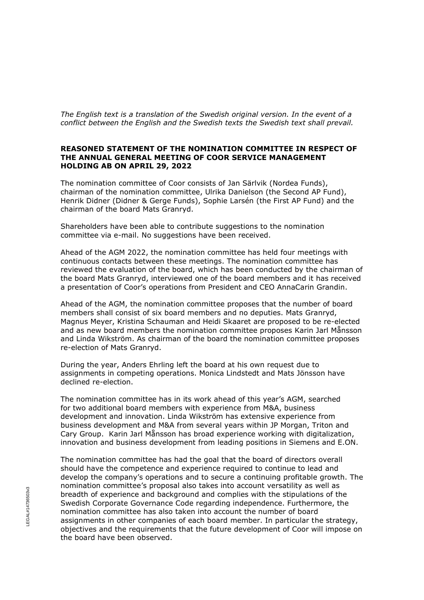*The English text is a translation of the Swedish original version. In the event of a conflict between the English and the Swedish texts the Swedish text shall prevail.*

## **REASONED STATEMENT OF THE NOMINATION COMMITTEE IN RESPECT OF THE ANNUAL GENERAL MEETING OF COOR SERVICE MANAGEMENT HOLDING AB ON APRIL 29, 2022**

The nomination committee of Coor consists of Jan Särlvik (Nordea Funds), chairman of the nomination committee, Ulrika Danielson (the Second AP Fund), Henrik Didner (Didner & Gerge Funds), Sophie Larsén (the First AP Fund) and the chairman of the board Mats Granryd.

Shareholders have been able to contribute suggestions to the nomination committee via e-mail. No suggestions have been received.

Ahead of the AGM 2022, the nomination committee has held four meetings with continuous contacts between these meetings. The nomination committee has reviewed the evaluation of the board, which has been conducted by the chairman of the board Mats Granryd, interviewed one of the board members and it has received a presentation of Coor's operations from President and CEO AnnaCarin Grandin.

Ahead of the AGM, the nomination committee proposes that the number of board members shall consist of six board members and no deputies. Mats Granryd, Magnus Meyer, Kristina Schauman and Heidi Skaaret are proposed to be re-elected and as new board members the nomination committee proposes Karin Jarl Månsson and Linda Wikström. As chairman of the board the nomination committee proposes re-election of Mats Granryd.

During the year, Anders Ehrling left the board at his own request due to assignments in competing operations. Monica Lindstedt and Mats Jönsson have declined re-election.

The nomination committee has in its work ahead of this year's AGM, searched for two additional board members with experience from M&A, business development and innovation. Linda Wikström has extensive experience from business development and M&A from several years within JP Morgan, Triton and Cary Group. Karin Jarl Månsson has broad experience working with digitalization, innovation and business development from leading positions in Siemens and E.ON.

The nomination committee has had the goal that the board of directors overall should have the competence and experience required to continue to lead and develop the company's operations and to secure a continuing profitable growth. The nomination committee's proposal also takes into account versatility as well as breadth of experience and background and complies with the stipulations of the Swedish Corporate Governance Code regarding independence. Furthermore, the nomination committee has also taken into account the number of board assignments in other companies of each board member. In particular the strategy, objectives and the requirements that the future development of Coor will impose on the board have been observed.